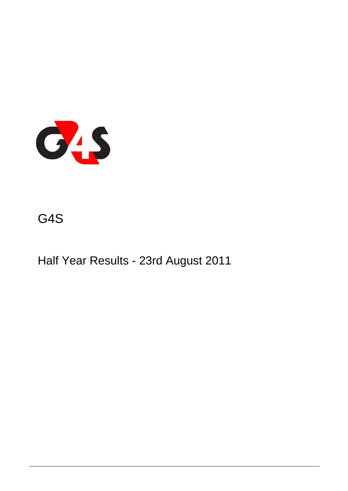

## G4S

Half Year Results - 23rd August 2011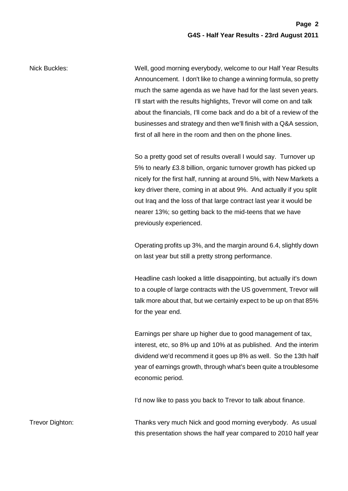Nick Buckles: Well, good morning everybody, welcome to our Half Year Results Announcement. I don't like to change a winning formula, so pretty much the same agenda as we have had for the last seven years. I'll start with the results highlights, Trevor will come on and talk about the financials, I'll come back and do a bit of a review of the businesses and strategy and then we'll finish with a Q&A session, first of all here in the room and then on the phone lines.

> So a pretty good set of results overall I would say. Turnover up 5% to nearly £3.8 billion, organic turnover growth has picked up nicely for the first half, running at around 5%, with New Markets a key driver there, coming in at about 9%. And actually if you split out Iraq and the loss of that large contract last year it would be nearer 13%; so getting back to the mid-teens that we have previously experienced.

> Operating profits up 3%, and the margin around 6.4, slightly down on last year but still a pretty strong performance.

> Headline cash looked a little disappointing, but actually it's down to a couple of large contracts with the US government, Trevor will talk more about that, but we certainly expect to be up on that 85% for the year end.

> Earnings per share up higher due to good management of tax, interest, etc, so 8% up and 10% at as published. And the interim dividend we'd recommend it goes up 8% as well. So the 13th half year of earnings growth, through what's been quite a troublesome economic period.

I'd now like to pass you back to Trevor to talk about finance.

Trevor Dighton: Thanks very much Nick and good morning everybody. As usual this presentation shows the half year compared to 2010 half year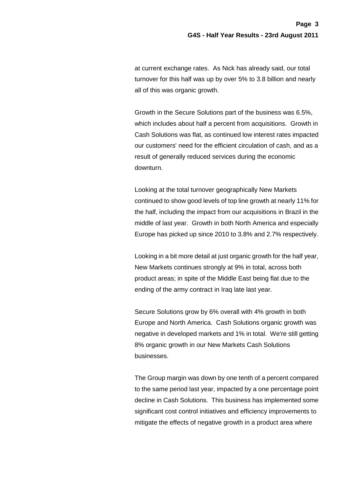at current exchange rates. As Nick has already said, our total turnover for this half was up by over 5% to 3.8 billion and nearly all of this was organic growth.

Growth in the Secure Solutions part of the business was 6.5%, which includes about half a percent from acquisitions. Growth in Cash Solutions was flat, as continued low interest rates impacted our customers' need for the efficient circulation of cash, and as a result of generally reduced services during the economic downturn.

Looking at the total turnover geographically New Markets continued to show good levels of top line growth at nearly 11% for the half, including the impact from our acquisitions in Brazil in the middle of last year. Growth in both North America and especially Europe has picked up since 2010 to 3.8% and 2.7% respectively.

Looking in a bit more detail at just organic growth for the half year, New Markets continues strongly at 9% in total, across both product areas; in spite of the Middle East being flat due to the ending of the army contract in Iraq late last year.

Secure Solutions grow by 6% overall with 4% growth in both Europe and North America. Cash Solutions organic growth was negative in developed markets and 1% in total. We're still getting 8% organic growth in our New Markets Cash Solutions businesses.

The Group margin was down by one tenth of a percent compared to the same period last year, impacted by a one percentage point decline in Cash Solutions. This business has implemented some significant cost control initiatives and efficiency improvements to mitigate the effects of negative growth in a product area where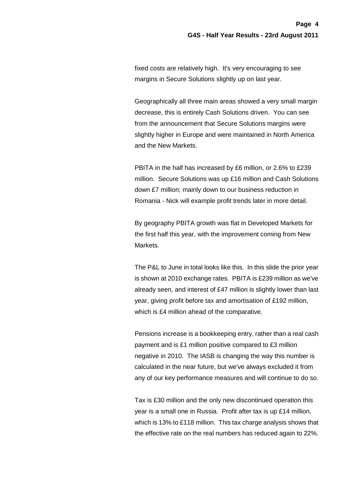fixed costs are relatively high. It's very encouraging to see margins in Secure Solutions slightly up on last year.

Geographically all three main areas showed a very small margin decrease, this is entirely Cash Solutions driven. You can see from the announcement that Secure Solutions margins were slightly higher in Europe and were maintained in North America and the New Markets.

PBITA in the half has increased by £6 million, or 2.6% to £239 million. Secure Solutions was up £16 million and Cash Solutions down £7 million; mainly down to our business reduction in Romania - Nick will example profit trends later in more detail.

By geography PBITA growth was flat in Developed Markets for the first half this year, with the improvement coming from New Markets.

The P&L to June in total looks like this. In this slide the prior year is shown at 2010 exchange rates. PBITA is £239 million as we've already seen, and interest of £47 million is slightly lower than last year, giving profit before tax and amortisation of £192 million, which is £4 million ahead of the comparative.

Pensions increase is a bookkeeping entry, rather than a real cash payment and is £1 million positive compared to £3 million negative in 2010. The IASB is changing the way this number is calculated in the near future, but we've always excluded it from any of our key performance measures and will continue to do so.

Tax is £30 million and the only new discontinued operation this year is a small one in Russia. Profit after tax is up £14 million, which is 13% to £118 million. This tax charge analysis shows that the effective rate on the real numbers has reduced again to 22%.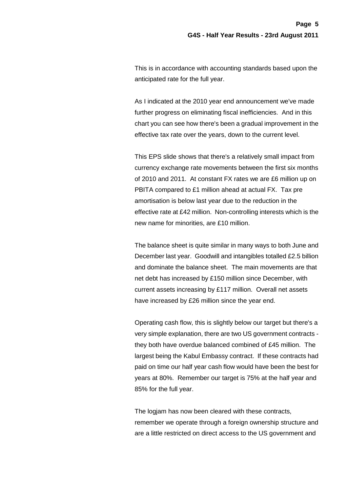This is in accordance with accounting standards based upon the anticipated rate for the full year.

As I indicated at the 2010 year end announcement we've made further progress on eliminating fiscal inefficiencies. And in this chart you can see how there's been a gradual improvement in the effective tax rate over the years, down to the current level.

This EPS slide shows that there's a relatively small impact from currency exchange rate movements between the first six months of 2010 and 2011. At constant FX rates we are £6 million up on PBITA compared to £1 million ahead at actual FX. Tax pre amortisation is below last year due to the reduction in the effective rate at £42 million. Non-controlling interests which is the new name for minorities, are £10 million.

The balance sheet is quite similar in many ways to both June and December last year. Goodwill and intangibles totalled £2.5 billion and dominate the balance sheet. The main movements are that net debt has increased by £150 million since December, with current assets increasing by £117 million. Overall net assets have increased by £26 million since the year end.

Operating cash flow, this is slightly below our target but there's a very simple explanation, there are two US government contracts they both have overdue balanced combined of £45 million. The largest being the Kabul Embassy contract. If these contracts had paid on time our half year cash flow would have been the best for years at 80%. Remember our target is 75% at the half year and 85% for the full year.

The logjam has now been cleared with these contracts, remember we operate through a foreign ownership structure and are a little restricted on direct access to the US government and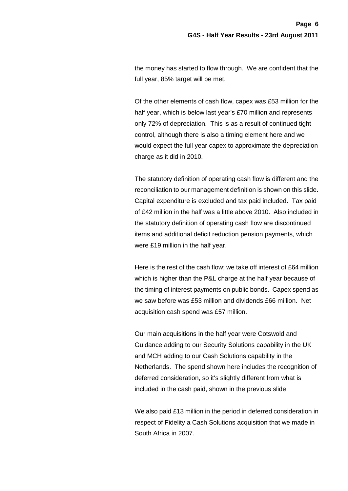the money has started to flow through. We are confident that the full year, 85% target will be met.

Of the other elements of cash flow, capex was £53 million for the half year, which is below last year's £70 million and represents only 72% of depreciation. This is as a result of continued tight control, although there is also a timing element here and we would expect the full year capex to approximate the depreciation charge as it did in 2010.

The statutory definition of operating cash flow is different and the reconciliation to our management definition is shown on this slide. Capital expenditure is excluded and tax paid included. Tax paid of £42 million in the half was a little above 2010. Also included in the statutory definition of operating cash flow are discontinued items and additional deficit reduction pension payments, which were £19 million in the half year.

Here is the rest of the cash flow; we take off interest of £64 million which is higher than the P&L charge at the half year because of the timing of interest payments on public bonds. Capex spend as we saw before was £53 million and dividends £66 million. Net acquisition cash spend was £57 million.

Our main acquisitions in the half year were Cotswold and Guidance adding to our Security Solutions capability in the UK and MCH adding to our Cash Solutions capability in the Netherlands. The spend shown here includes the recognition of deferred consideration, so it's slightly different from what is included in the cash paid, shown in the previous slide.

We also paid £13 million in the period in deferred consideration in respect of Fidelity a Cash Solutions acquisition that we made in South Africa in 2007.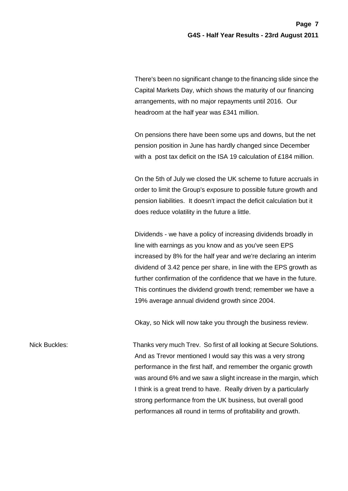There's been no significant change to the financing slide since the Capital Markets Day, which shows the maturity of our financing arrangements, with no major repayments until 2016. Our headroom at the half year was £341 million.

On pensions there have been some ups and downs, but the net pension position in June has hardly changed since December with a post tax deficit on the ISA 19 calculation of £184 million.

On the 5th of July we closed the UK scheme to future accruals in order to limit the Group's exposure to possible future growth and pension liabilities. It doesn't impact the deficit calculation but it does reduce volatility in the future a little.

Dividends - we have a policy of increasing dividends broadly in line with earnings as you know and as you've seen EPS increased by 8% for the half year and we're declaring an interim dividend of 3.42 pence per share, in line with the EPS growth as further confirmation of the confidence that we have in the future. This continues the dividend growth trend; remember we have a 19% average annual dividend growth since 2004.

Okay, so Nick will now take you through the business review.

Nick Buckles: Thanks very much Trev. So first of all looking at Secure Solutions. And as Trevor mentioned I would say this was a very strong performance in the first half, and remember the organic growth was around 6% and we saw a slight increase in the margin, which I think is a great trend to have. Really driven by a particularly strong performance from the UK business, but overall good performances all round in terms of profitability and growth.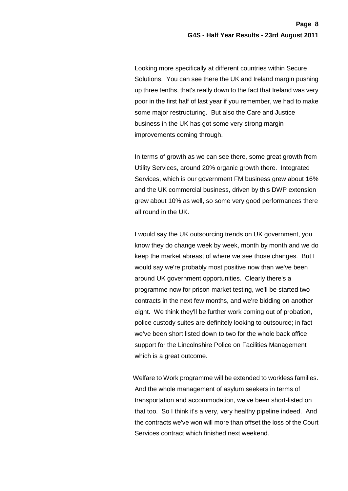Looking more specifically at different countries within Secure Solutions. You can see there the UK and Ireland margin pushing up three tenths, that's really down to the fact that Ireland was very poor in the first half of last year if you remember, we had to make some major restructuring. But also the Care and Justice business in the UK has got some very strong margin improvements coming through.

In terms of growth as we can see there, some great growth from Utility Services, around 20% organic growth there. Integrated Services, which is our government FM business grew about 16% and the UK commercial business, driven by this DWP extension grew about 10% as well, so some very good performances there all round in the UK.

I would say the UK outsourcing trends on UK government, you know they do change week by week, month by month and we do keep the market abreast of where we see those changes. But I would say we're probably most positive now than we've been around UK government opportunities. Clearly there's a programme now for prison market testing, we'll be started two contracts in the next few months, and we're bidding on another eight. We think they'll be further work coming out of probation, police custody suites are definitely looking to outsource; in fact we've been short listed down to two for the whole back office support for the Lincolnshire Police on Facilities Management which is a great outcome.

Welfare to Work programme will be extended to workless families. And the whole management of asylum seekers in terms of transportation and accommodation, we've been short-listed on that too. So I think it's a very, very healthy pipeline indeed. And the contracts we've won will more than offset the loss of the Court Services contract which finished next weekend.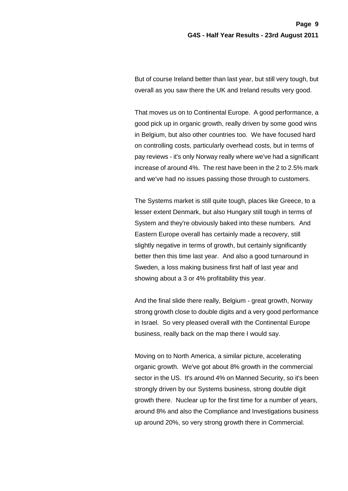But of course Ireland better than last year, but still very tough, but overall as you saw there the UK and Ireland results very good.

That moves us on to Continental Europe. A good performance, a good pick up in organic growth, really driven by some good wins in Belgium, but also other countries too. We have focused hard on controlling costs, particularly overhead costs, but in terms of pay reviews - it's only Norway really where we've had a significant increase of around 4%. The rest have been in the 2 to 2.5% mark and we've had no issues passing those through to customers.

The Systems market is still quite tough, places like Greece, to a lesser extent Denmark, but also Hungary still tough in terms of System and they're obviously baked into these numbers. And Eastern Europe overall has certainly made a recovery, still slightly negative in terms of growth, but certainly significantly better then this time last year. And also a good turnaround in Sweden, a loss making business first half of last year and showing about a 3 or 4% profitability this year.

And the final slide there really, Belgium - great growth, Norway strong growth close to double digits and a very good performance in Israel. So very pleased overall with the Continental Europe business, really back on the map there I would say.

Moving on to North America, a similar picture, accelerating organic growth. We've got about 8% growth in the commercial sector in the US. It's around 4% on Manned Security, so it's been strongly driven by our Systems business, strong double digit growth there. Nuclear up for the first time for a number of years, around 8% and also the Compliance and Investigations business up around 20%, so very strong growth there in Commercial.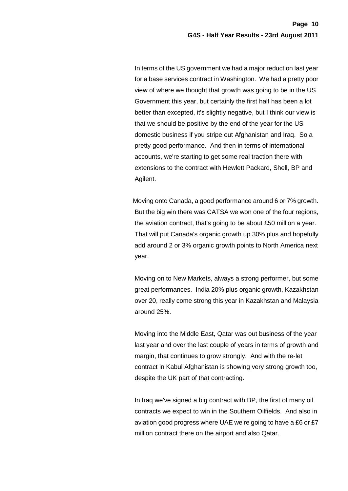In terms of the US government we had a major reduction last year for a base services contract in Washington. We had a pretty poor view of where we thought that growth was going to be in the US Government this year, but certainly the first half has been a lot better than excepted, it's slightly negative, but I think our view is that we should be positive by the end of the year for the US domestic business if you stripe out Afghanistan and Iraq. So a pretty good performance. And then in terms of international accounts, we're starting to get some real traction there with extensions to the contract with Hewlett Packard, Shell, BP and Agilent.

Moving onto Canada, a good performance around 6 or 7% growth. But the big win there was CATSA we won one of the four regions, the aviation contract, that's going to be about £50 million a year. That will put Canada's organic growth up 30% plus and hopefully add around 2 or 3% organic growth points to North America next year.

Moving on to New Markets, always a strong performer, but some great performances. India 20% plus organic growth, Kazakhstan over 20, really come strong this year in Kazakhstan and Malaysia around 25%.

Moving into the Middle East, Qatar was out business of the year last year and over the last couple of years in terms of growth and margin, that continues to grow strongly. And with the re-let contract in Kabul Afghanistan is showing very strong growth too, despite the UK part of that contracting.

In Iraq we've signed a big contract with BP, the first of many oil contracts we expect to win in the Southern Oilfields. And also in aviation good progress where UAE we're going to have a £6 or £7 million contract there on the airport and also Qatar.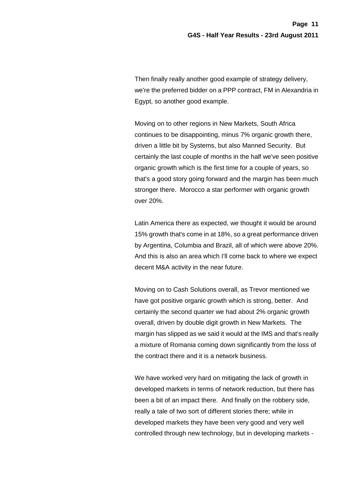Then finally really another good example of strategy delivery, we're the preferred bidder on a PPP contract, FM in Alexandria in Egypt, so another good example.

 Moving on to other regions in New Markets, South Africa continues to be disappointing, minus 7% organic growth there, driven a little bit by Systems, but also Manned Security. But certainly the last couple of months in the half we've seen positive organic growth which is the first time for a couple of years, so that's a good story going forward and the margin has been much stronger there. Morocco a star performer with organic growth over 20%.

Latin America there as expected, we thought it would be around 15% growth that's come in at 18%, so a great performance driven by Argentina, Columbia and Brazil, all of which were above 20%. And this is also an area which I'll come back to where we expect decent M&A activity in the near future.

Moving on to Cash Solutions overall, as Trevor mentioned we have got positive organic growth which is strong, better. And certainly the second quarter we had about 2% organic growth overall, driven by double digit growth in New Markets. The margin has slipped as we said it would at the IMS and that's really a mixture of Romania coming down significantly from the loss of the contract there and it is a network business.

We have worked very hard on mitigating the lack of growth in developed markets in terms of network reduction, but there has been a bit of an impact there. And finally on the robbery side, really a tale of two sort of different stories there; while in developed markets they have been very good and very well controlled through new technology, but in developing markets -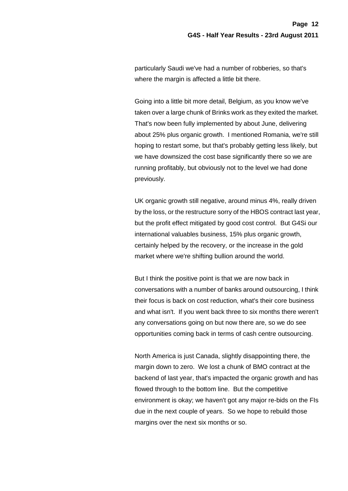particularly Saudi we've had a number of robberies, so that's where the margin is affected a little bit there.

Going into a little bit more detail, Belgium, as you know we've taken over a large chunk of Brinks work as they exited the market. That's now been fully implemented by about June, delivering about 25% plus organic growth. I mentioned Romania, we're still hoping to restart some, but that's probably getting less likely, but we have downsized the cost base significantly there so we are running profitably, but obviously not to the level we had done previously.

UK organic growth still negative, around minus 4%, really driven by the loss, or the restructure sorry of the HBOS contract last year, but the profit effect mitigated by good cost control. But G4Si our international valuables business, 15% plus organic growth, certainly helped by the recovery, or the increase in the gold market where we're shifting bullion around the world.

But I think the positive point is that we are now back in conversations with a number of banks around outsourcing, I think their focus is back on cost reduction, what's their core business and what isn't. If you went back three to six months there weren't any conversations going on but now there are, so we do see opportunities coming back in terms of cash centre outsourcing.

North America is just Canada, slightly disappointing there, the margin down to zero. We lost a chunk of BMO contract at the backend of last year, that's impacted the organic growth and has flowed through to the bottom line. But the competitive environment is okay; we haven't got any major re-bids on the FIs due in the next couple of years. So we hope to rebuild those margins over the next six months or so.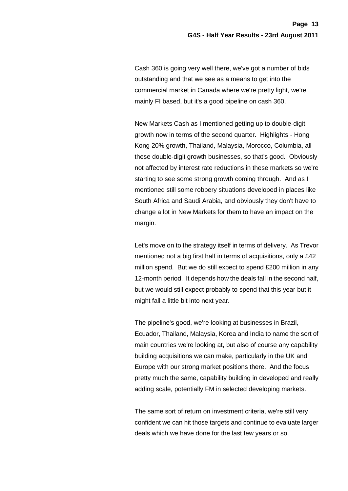Cash 360 is going very well there, we've got a number of bids outstanding and that we see as a means to get into the commercial market in Canada where we're pretty light, we're mainly FI based, but it's a good pipeline on cash 360.

New Markets Cash as I mentioned getting up to double-digit growth now in terms of the second quarter. Highlights - Hong Kong 20% growth, Thailand, Malaysia, Morocco, Columbia, all these double-digit growth businesses, so that's good. Obviously not affected by interest rate reductions in these markets so we're starting to see some strong growth coming through. And as I mentioned still some robbery situations developed in places like South Africa and Saudi Arabia, and obviously they don't have to change a lot in New Markets for them to have an impact on the margin.

Let's move on to the strategy itself in terms of delivery. As Trevor mentioned not a big first half in terms of acquisitions, only a £42 million spend. But we do still expect to spend £200 million in any 12-month period. It depends how the deals fall in the second half, but we would still expect probably to spend that this year but it might fall a little bit into next year.

The pipeline's good, we're looking at businesses in Brazil, Ecuador, Thailand, Malaysia, Korea and India to name the sort of main countries we're looking at, but also of course any capability building acquisitions we can make, particularly in the UK and Europe with our strong market positions there. And the focus pretty much the same, capability building in developed and really adding scale, potentially FM in selected developing markets.

The same sort of return on investment criteria, we're still very confident we can hit those targets and continue to evaluate larger deals which we have done for the last few years or so.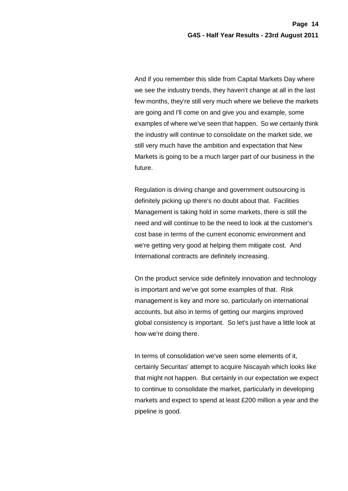And if you remember this slide from Capital Markets Day where we see the industry trends, they haven't change at all in the last few months, they're still very much where we believe the markets are going and I'll come on and give you and example, some examples of where we've seen that happen. So we certainly think the industry will continue to consolidate on the market side, we still very much have the ambition and expectation that New Markets is going to be a much larger part of our business in the future.

Regulation is driving change and government outsourcing is definitely picking up there's no doubt about that. Facilities Management is taking hold in some markets, there is still the need and will continue to be the need to look at the customer's cost base in terms of the current economic environment and we're getting very good at helping them mitigate cost. And International contracts are definitely increasing.

On the product service side definitely innovation and technology is important and we've got some examples of that. Risk management is key and more so, particularly on international accounts, but also in terms of getting our margins improved global consistency is important. So let's just have a little look at how we're doing there.

In terms of consolidation we've seen some elements of it, certainly Securitas' attempt to acquire Niscayah which looks like that might not happen. But certainly in our expectation we expect to continue to consolidate the market, particularly in developing markets and expect to spend at least £200 million a year and the pipeline is good.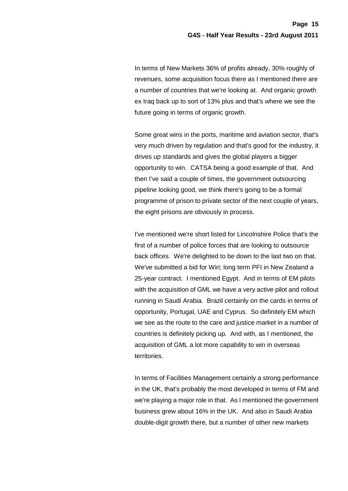In terms of New Markets 36% of profits already, 30% roughly of revenues, some acquisition focus there as I mentioned there are a number of countries that we're looking at. And organic growth ex Iraq back up to sort of 13% plus and that's where we see the future going in terms of organic growth.

Some great wins in the ports, maritime and aviation sector, that's very much driven by regulation and that's good for the industry, it drives up standards and gives the global players a bigger opportunity to win. CATSA being a good example of that. And then I've said a couple of times, the government outsourcing pipeline looking good, we think there's going to be a formal programme of prison to private sector of the next couple of years, the eight prisons are obviously in process.

I've mentioned we're short listed for Lincolnshire Police that's the first of a number of police forces that are looking to outsource back offices. We're delighted to be down to the last two on that. We've submitted a bid for Wiri; long term PFI in New Zealand a 25-year contract. I mentioned Egypt. And in terms of EM pilots with the acquisition of GML we have a very active pilot and rollout running in Saudi Arabia. Brazil certainly on the cards in terms of opportunity, Portugal, UAE and Cyprus. So definitely EM which we see as the route to the care and justice market in a number of countries is definitely picking up. And with, as I mentioned, the acquisition of GML a lot more capability to win in overseas territories.

In terms of Facilities Management certainly a strong performance in the UK, that's probably the most developed in terms of FM and we're playing a major role in that. As I mentioned the government business grew about 16% in the UK. And also in Saudi Arabia double-digit growth there, but a number of other new markets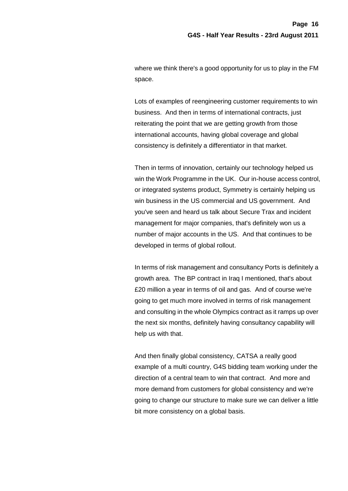where we think there's a good opportunity for us to play in the FM space.

Lots of examples of reengineering customer requirements to win business. And then in terms of international contracts, just reiterating the point that we are getting growth from those international accounts, having global coverage and global consistency is definitely a differentiator in that market.

Then in terms of innovation, certainly our technology helped us win the Work Programme in the UK. Our in-house access control, or integrated systems product, Symmetry is certainly helping us win business in the US commercial and US government. And you've seen and heard us talk about Secure Trax and incident management for major companies, that's definitely won us a number of major accounts in the US. And that continues to be developed in terms of global rollout.

In terms of risk management and consultancy Ports is definitely a growth area. The BP contract in Iraq I mentioned, that's about £20 million a year in terms of oil and gas. And of course we're going to get much more involved in terms of risk management and consulting in the whole Olympics contract as it ramps up over the next six months, definitely having consultancy capability will help us with that.

And then finally global consistency, CATSA a really good example of a multi country, G4S bidding team working under the direction of a central team to win that contract. And more and more demand from customers for global consistency and we're going to change our structure to make sure we can deliver a little bit more consistency on a global basis.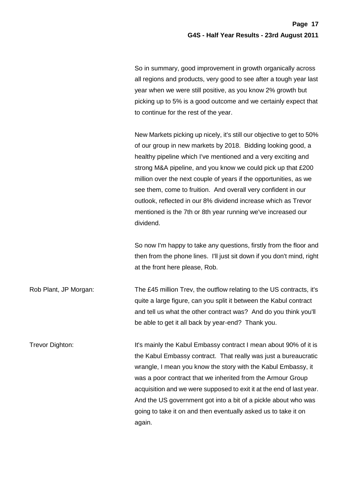So in summary, good improvement in growth organically across all regions and products, very good to see after a tough year last year when we were still positive, as you know 2% growth but picking up to 5% is a good outcome and we certainly expect that to continue for the rest of the year.

New Markets picking up nicely, it's still our objective to get to 50% of our group in new markets by 2018. Bidding looking good, a healthy pipeline which I've mentioned and a very exciting and strong M&A pipeline, and you know we could pick up that £200 million over the next couple of years if the opportunities, as we see them, come to fruition. And overall very confident in our outlook, reflected in our 8% dividend increase which as Trevor mentioned is the 7th or 8th year running we've increased our dividend.

So now I'm happy to take any questions, firstly from the floor and then from the phone lines. I'll just sit down if you don't mind, right at the front here please, Rob.

Rob Plant, JP Morgan: The £45 million Trev, the outflow relating to the US contracts, it's quite a large figure, can you split it between the Kabul contract and tell us what the other contract was? And do you think you'll be able to get it all back by year-end? Thank you.

Trevor Dighton: It's mainly the Kabul Embassy contract I mean about 90% of it is the Kabul Embassy contract. That really was just a bureaucratic wrangle, I mean you know the story with the Kabul Embassy, it was a poor contract that we inherited from the Armour Group acquisition and we were supposed to exit it at the end of last year. And the US government got into a bit of a pickle about who was going to take it on and then eventually asked us to take it on again.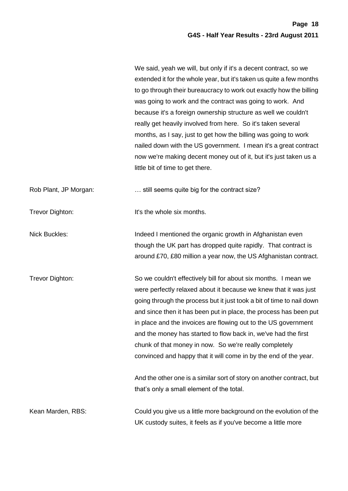|                       | We said, yeah we will, but only if it's a decent contract, so we<br>extended it for the whole year, but it's taken us quite a few months<br>to go through their bureaucracy to work out exactly how the billing<br>was going to work and the contract was going to work. And<br>because it's a foreign ownership structure as well we couldn't<br>really get heavily involved from here. So it's taken several<br>months, as I say, just to get how the billing was going to work<br>nailed down with the US government. I mean it's a great contract<br>now we're making decent money out of it, but it's just taken us a<br>little bit of time to get there. |
|-----------------------|----------------------------------------------------------------------------------------------------------------------------------------------------------------------------------------------------------------------------------------------------------------------------------------------------------------------------------------------------------------------------------------------------------------------------------------------------------------------------------------------------------------------------------------------------------------------------------------------------------------------------------------------------------------|
| Rob Plant, JP Morgan: | still seems quite big for the contract size?                                                                                                                                                                                                                                                                                                                                                                                                                                                                                                                                                                                                                   |
| Trevor Dighton:       | It's the whole six months.                                                                                                                                                                                                                                                                                                                                                                                                                                                                                                                                                                                                                                     |
| Nick Buckles:         | Indeed I mentioned the organic growth in Afghanistan even<br>though the UK part has dropped quite rapidly. That contract is<br>around £70, £80 million a year now, the US Afghanistan contract.                                                                                                                                                                                                                                                                                                                                                                                                                                                                |
| Trevor Dighton:       | So we couldn't effectively bill for about six months. I mean we<br>were perfectly relaxed about it because we knew that it was just<br>going through the process but it just took a bit of time to nail down<br>and since then it has been put in place, the process has been put<br>in place and the invoices are flowing out to the US government<br>and the money has started to flow back in, we've had the first<br>chunk of that money in now. So we're really completely<br>convinced and happy that it will come in by the end of the year.                                                                                                            |
|                       | And the other one is a similar sort of story on another contract, but<br>that's only a small element of the total.                                                                                                                                                                                                                                                                                                                                                                                                                                                                                                                                             |
| Kean Marden, RBS:     | Could you give us a little more background on the evolution of the<br>UK custody suites, it feels as if you've become a little more                                                                                                                                                                                                                                                                                                                                                                                                                                                                                                                            |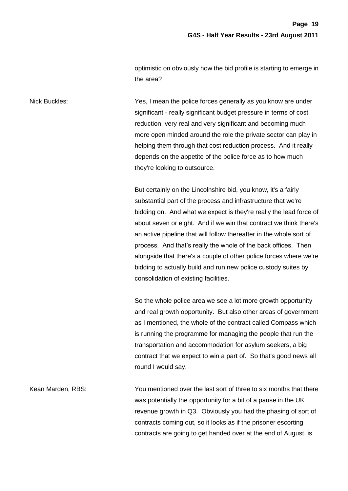optimistic on obviously how the bid profile is starting to emerge in the area?

Nick Buckles: Yes, I mean the police forces generally as you know are under significant - really significant budget pressure in terms of cost reduction, very real and very significant and becoming much more open minded around the role the private sector can play in helping them through that cost reduction process. And it really depends on the appetite of the police force as to how much they're looking to outsource.

> But certainly on the Lincolnshire bid, you know, it's a fairly substantial part of the process and infrastructure that we're bidding on. And what we expect is they're really the lead force of about seven or eight. And if we win that contract we think there's an active pipeline that will follow thereafter in the whole sort of process. And that's really the whole of the back offices. Then alongside that there's a couple of other police forces where we're bidding to actually build and run new police custody suites by consolidation of existing facilities.

> So the whole police area we see a lot more growth opportunity and real growth opportunity. But also other areas of government as I mentioned, the whole of the contract called Compass which is running the programme for managing the people that run the transportation and accommodation for asylum seekers, a big contract that we expect to win a part of. So that's good news all round I would say.

Kean Marden, RBS: You mentioned over the last sort of three to six months that there was potentially the opportunity for a bit of a pause in the UK revenue growth in Q3. Obviously you had the phasing of sort of contracts coming out, so it looks as if the prisoner escorting contracts are going to get handed over at the end of August, is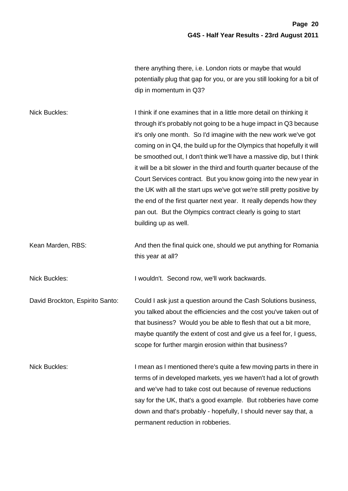there anything there, i.e. London riots or maybe that would potentially plug that gap for you, or are you still looking for a bit of dip in momentum in Q3?

| <b>Nick Buckles:</b>            | I think if one examines that in a little more detail on thinking it<br>through it's probably not going to be a huge impact in Q3 because<br>it's only one month. So I'd imagine with the new work we've got<br>coming on in Q4, the build up for the Olympics that hopefully it will<br>be smoothed out, I don't think we'll have a massive dip, but I think<br>it will be a bit slower in the third and fourth quarter because of the<br>Court Services contract. But you know going into the new year in<br>the UK with all the start ups we've got we're still pretty positive by<br>the end of the first quarter next year. It really depends how they<br>pan out. But the Olympics contract clearly is going to start<br>building up as well. |
|---------------------------------|----------------------------------------------------------------------------------------------------------------------------------------------------------------------------------------------------------------------------------------------------------------------------------------------------------------------------------------------------------------------------------------------------------------------------------------------------------------------------------------------------------------------------------------------------------------------------------------------------------------------------------------------------------------------------------------------------------------------------------------------------|
| Kean Marden, RBS:               | And then the final quick one, should we put anything for Romania<br>this year at all?                                                                                                                                                                                                                                                                                                                                                                                                                                                                                                                                                                                                                                                              |
| <b>Nick Buckles:</b>            | I wouldn't. Second row, we'll work backwards.                                                                                                                                                                                                                                                                                                                                                                                                                                                                                                                                                                                                                                                                                                      |
| David Brockton, Espirito Santo: | Could I ask just a question around the Cash Solutions business,<br>you talked about the efficiencies and the cost you've taken out of<br>that business? Would you be able to flesh that out a bit more,<br>maybe quantify the extent of cost and give us a feel for, I guess,<br>scope for further margin erosion within that business?                                                                                                                                                                                                                                                                                                                                                                                                            |
| Nick Buckles:                   | I mean as I mentioned there's quite a few moving parts in there in<br>terms of in developed markets, yes we haven't had a lot of growth<br>and we've had to take cost out because of revenue reductions<br>say for the UK, that's a good example. But robberies have come<br>down and that's probably - hopefully, I should never say that, a<br>permanent reduction in robberies.                                                                                                                                                                                                                                                                                                                                                                 |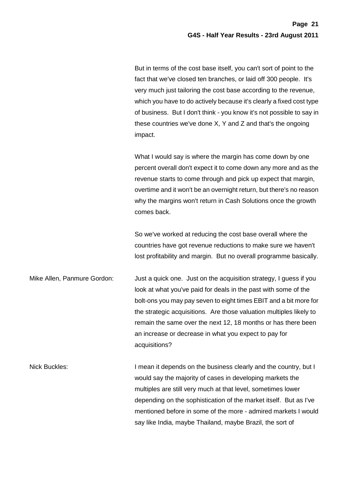But in terms of the cost base itself, you can't sort of point to the fact that we've closed ten branches, or laid off 300 people. It's very much just tailoring the cost base according to the revenue, which you have to do actively because it's clearly a fixed cost type of business. But I don't think - you know it's not possible to say in these countries we've done X, Y and Z and that's the ongoing impact.

What I would say is where the margin has come down by one percent overall don't expect it to come down any more and as the revenue starts to come through and pick up expect that margin, overtime and it won't be an overnight return, but there's no reason why the margins won't return in Cash Solutions once the growth comes back.

So we've worked at reducing the cost base overall where the countries have got revenue reductions to make sure we haven't lost profitability and margin. But no overall programme basically.

Mike Allen, Panmure Gordon: Just a quick one. Just on the acquisition strategy, I guess if you look at what you've paid for deals in the past with some of the bolt-ons you may pay seven to eight times EBIT and a bit more for the strategic acquisitions. Are those valuation multiples likely to remain the same over the next 12, 18 months or has there been an increase or decrease in what you expect to pay for acquisitions?

Nick Buckles: I mean it depends on the business clearly and the country, but I would say the majority of cases in developing markets the multiples are still very much at that level, sometimes lower depending on the sophistication of the market itself. But as I've mentioned before in some of the more - admired markets I would say like India, maybe Thailand, maybe Brazil, the sort of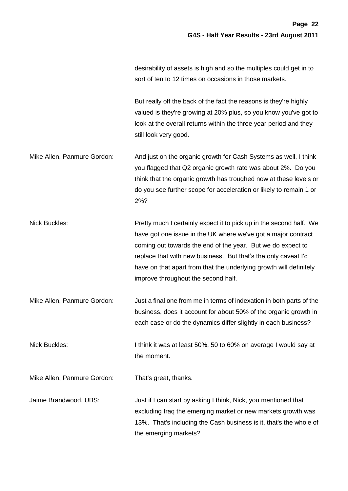desirability of assets is high and so the multiples could get in to sort of ten to 12 times on occasions in those markets.

But really off the back of the fact the reasons is they're highly valued is they're growing at 20% plus, so you know you've got to look at the overall returns within the three year period and they still look very good.

Mike Allen, Panmure Gordon: And just on the organic growth for Cash Systems as well, I think you flagged that Q2 organic growth rate was about 2%. Do you think that the organic growth has troughed now at these levels or do you see further scope for acceleration or likely to remain 1 or 2%?

Nick Buckles: Pretty much I certainly expect it to pick up in the second half. We have got one issue in the UK where we've got a major contract coming out towards the end of the year. But we do expect to replace that with new business. But that's the only caveat I'd have on that apart from that the underlying growth will definitely improve throughout the second half.

Mike Allen, Panmure Gordon: Just a final one from me in terms of indexation in both parts of the business, does it account for about 50% of the organic growth in each case or do the dynamics differ slightly in each business?

Nick Buckles: I think it was at least 50%, 50 to 60% on average I would say at the moment.

Mike Allen, Panmure Gordon: That's great, thanks.

Jaime Brandwood, UBS: Just if I can start by asking I think, Nick, you mentioned that excluding Iraq the emerging market or new markets growth was 13%. That's including the Cash business is it, that's the whole of the emerging markets?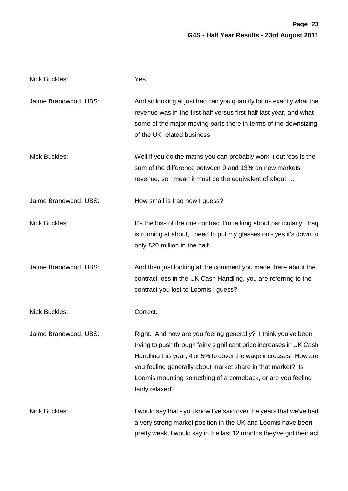| <b>Nick Buckles:</b>  | Yes.                                                                                                                                                                                                                                                                                                                                                       |
|-----------------------|------------------------------------------------------------------------------------------------------------------------------------------------------------------------------------------------------------------------------------------------------------------------------------------------------------------------------------------------------------|
| Jaime Brandwood, UBS: | And so looking at just Iraq can you quantify for us exactly what the<br>revenue was in the first half versus first half last year, and what<br>some of the major moving parts there in terms of the downsizing<br>of the UK related business.                                                                                                              |
| <b>Nick Buckles:</b>  | Well if you do the maths you can probably work it out 'cos is the<br>sum of the difference between 9 and 13% on new markets<br>revenue, so I mean it must be the equivalent of about                                                                                                                                                                       |
| Jaime Brandwood, UBS: | How small is Iraq now I guess?                                                                                                                                                                                                                                                                                                                             |
| <b>Nick Buckles:</b>  | It's the loss of the one contract I'm talking about particularly. Iraq<br>is running at about, I need to put my glasses on - yes it's down to<br>only £20 million in the half.                                                                                                                                                                             |
| Jaime Brandwood, UBS: | And then just looking at the comment you made there about the<br>contract loss in the UK Cash Handling, you are referring to the<br>contract you lost to Loomis I guess?                                                                                                                                                                                   |
| <b>Nick Buckles:</b>  | Correct.                                                                                                                                                                                                                                                                                                                                                   |
| Jaime Brandwood, UBS: | Right. And how are you feeling generally? I think you've been<br>trying to push through fairly significant price increases in UK Cash<br>Handling this year, 4 or 5% to cover the wage increases. How are<br>you feeling generally about market share in that market? Is<br>Loomis mounting something of a comeback, or are you feeling<br>fairly relaxed? |
| Nick Buckles:         | I would say that - you know I've said over the years that we've had<br>a very strong market position in the UK and Loomis have been<br>pretty weak, I would say in the last 12 months they've got their act                                                                                                                                                |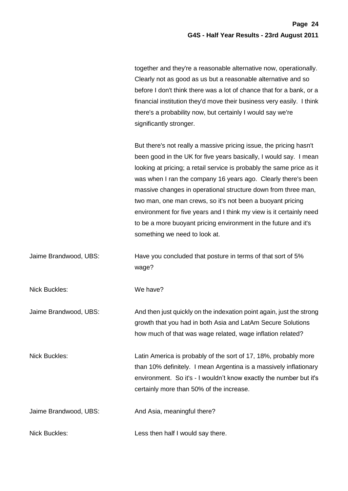together and they're a reasonable alternative now, operationally. Clearly not as good as us but a reasonable alternative and so before I don't think there was a lot of chance that for a bank, or a financial institution they'd move their business very easily. I think there's a probability now, but certainly I would say we're significantly stronger.

But there's not really a massive pricing issue, the pricing hasn't been good in the UK for five years basically, I would say. I mean looking at pricing; a retail service is probably the same price as it was when I ran the company 16 years ago. Clearly there's been massive changes in operational structure down from three man, two man, one man crews, so it's not been a buoyant pricing environment for five years and I think my view is it certainly need to be a more buoyant pricing environment in the future and it's something we need to look at.

Jaime Brandwood, UBS: Have you concluded that posture in terms of that sort of 5% wage?

Nick Buckles: We have?

Jaime Brandwood, UBS: And then just quickly on the indexation point again, just the strong growth that you had in both Asia and LatAm Secure Solutions how much of that was wage related, wage inflation related?

Nick Buckles: Latin America is probably of the sort of 17, 18%, probably more than 10% definitely. I mean Argentina is a massively inflationary environment. So it's - I wouldn't know exactly the number but it's certainly more than 50% of the increase.

Jaime Brandwood, UBS: And Asia, meaningful there?

Nick Buckles: Less then half I would say there.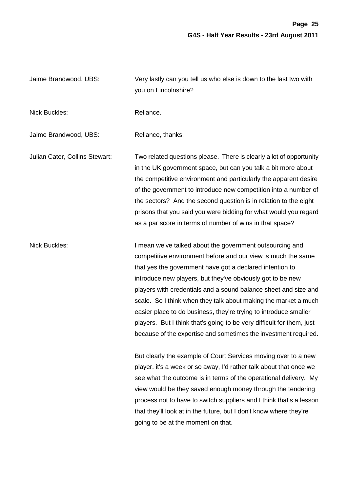Jaime Brandwood, UBS: Very lastly can you tell us who else is down to the last two with you on Lincolnshire? Nick Buckles: Nick Buckles: Reliance. Jaime Brandwood, UBS: Reliance, thanks. Julian Cater, Collins Stewart: Two related questions please. There is clearly a lot of opportunity in the UK government space, but can you talk a bit more about the competitive environment and particularly the apparent desire of the government to introduce new competition into a number of the sectors? And the second question is in relation to the eight prisons that you said you were bidding for what would you regard as a par score in terms of number of wins in that space? Nick Buckles: I mean we've talked about the government outsourcing and competitive environment before and our view is much the same that yes the government have got a declared intention to introduce new players, but they've obviously got to be new players with credentials and a sound balance sheet and size and scale. So I think when they talk about making the market a much easier place to do business, they're trying to introduce smaller players. But I think that's going to be very difficult for them, just because of the expertise and sometimes the investment required. But clearly the example of Court Services moving over to a new player, it's a week or so away, I'd rather talk about that once we see what the outcome is in terms of the operational delivery. My view would be they saved enough money through the tendering process not to have to switch suppliers and I think that's a lesson that they'll look at in the future, but I don't know where they're going to be at the moment on that.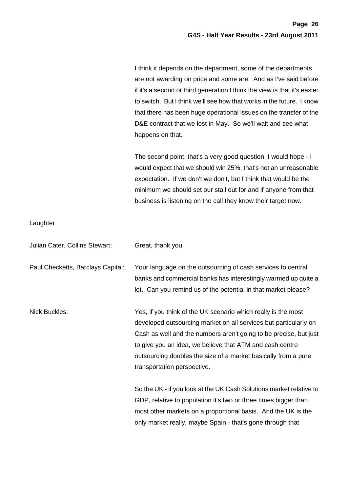I think it depends on the department, some of the departments are not awarding on price and some are. And as I've said before if it's a second or third generation I think the view is that it's easier to switch. But I think we'll see how that works in the future. I know that there has been huge operational issues on the transfer of the D&E contract that we lost in May. So we'll wait and see what happens on that.

The second point, that's a very good question, I would hope - I would expect that we should win 25%, that's not an unreasonable expectation. If we don't we don't, but I think that would be the minimum we should set our stall out for and if anyone from that business is listening on the call they know their target now.

only market really, maybe Spain - that's gone through that

## **Laughter**

| Julian Cater, Collins Stewart:    | Great, thank you.                                                                                                                                                                                                                                                                                                                                                   |
|-----------------------------------|---------------------------------------------------------------------------------------------------------------------------------------------------------------------------------------------------------------------------------------------------------------------------------------------------------------------------------------------------------------------|
| Paul Checketts, Barclays Capital: | Your language on the outsourcing of cash services to central<br>banks and commercial banks has interestingly warmed up quite a<br>lot. Can you remind us of the potential in that market please?                                                                                                                                                                    |
| <b>Nick Buckles:</b>              | Yes, if you think of the UK scenario which really is the most<br>developed outsourcing market on all services but particularly on<br>Cash as well and the numbers aren't going to be precise, but just<br>to give you an idea, we believe that ATM and cash centre<br>outsourcing doubles the size of a market basically from a pure<br>transportation perspective. |
|                                   | So the UK - if you look at the UK Cash Solutions market relative to<br>GDP, relative to population it's two or three times bigger than<br>most other markets on a proportional basis. And the UK is the                                                                                                                                                             |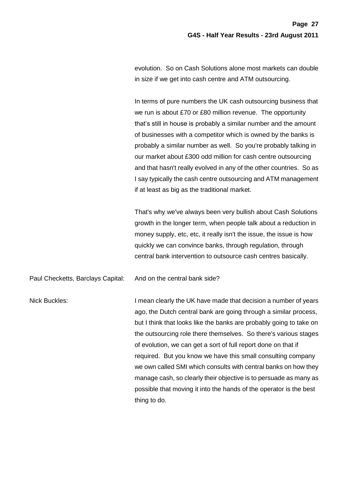evolution. So on Cash Solutions alone most markets can double in size if we get into cash centre and ATM outsourcing.

In terms of pure numbers the UK cash outsourcing business that we run is about £70 or £80 million revenue. The opportunity that's still in house is probably a similar number and the amount of businesses with a competitor which is owned by the banks is probably a similar number as well. So you're probably talking in our market about £300 odd million for cash centre outsourcing and that hasn't really evolved in any of the other countries. So as I say typically the cash centre outsourcing and ATM management if at least as big as the traditional market.

That's why we've always been very bullish about Cash Solutions growth in the longer term, when people talk about a reduction in money supply, etc, etc, it really isn't the issue, the issue is how quickly we can convince banks, through regulation, through central bank intervention to outsource cash centres basically.

Paul Checketts, Barclays Capital: And on the central bank side?

Nick Buckles: I mean clearly the UK have made that decision a number of years ago, the Dutch central bank are going through a similar process, but I think that looks like the banks are probably going to take on the outsourcing role there themselves. So there's various stages of evolution, we can get a sort of full report done on that if required. But you know we have this small consulting company we own called SMI which consults with central banks on how they manage cash, so clearly their objective is to persuade as many as possible that moving it into the hands of the operator is the best thing to do.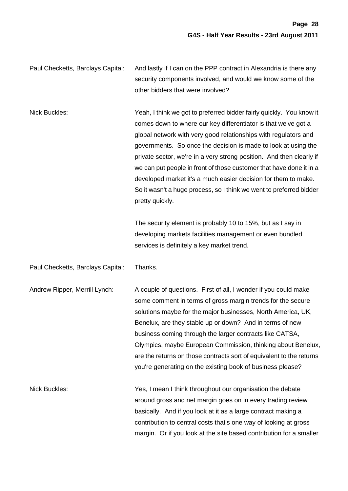Paul Checketts, Barclays Capital: And lastly if I can on the PPP contract in Alexandria is there any security components involved, and would we know some of the other bidders that were involved?

Nick Buckles: Yeah, I think we got to preferred bidder fairly quickly. You know it comes down to where our key differentiator is that we've got a global network with very good relationships with regulators and governments. So once the decision is made to look at using the private sector, we're in a very strong position. And then clearly if we can put people in front of those customer that have done it in a developed market it's a much easier decision for them to make. So it wasn't a huge process, so I think we went to preferred bidder pretty quickly.

> The security element is probably 10 to 15%, but as I say in developing markets facilities management or even bundled services is definitely a key market trend.

Paul Checketts, Barclays Capital: Thanks.

Andrew Ripper, Merrill Lynch: A couple of questions. First of all, I wonder if you could make some comment in terms of gross margin trends for the secure solutions maybe for the major businesses, North America, UK, Benelux, are they stable up or down? And in terms of new business coming through the larger contracts like CATSA, Olympics, maybe European Commission, thinking about Benelux, are the returns on those contracts sort of equivalent to the returns you're generating on the existing book of business please?

Nick Buckles: Yes, I mean I think throughout our organisation the debate around gross and net margin goes on in every trading review basically. And if you look at it as a large contract making a contribution to central costs that's one way of looking at gross margin. Or if you look at the site based contribution for a smaller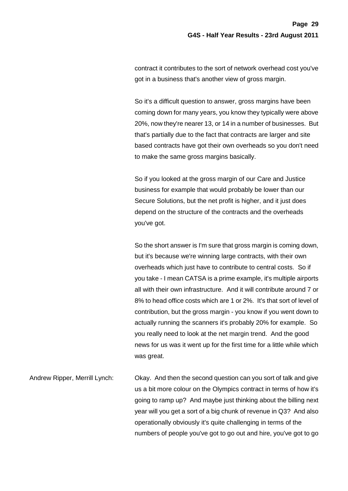contract it contributes to the sort of network overhead cost you've got in a business that's another view of gross margin.

So it's a difficult question to answer, gross margins have been coming down for many years, you know they typically were above 20%, now they're nearer 13, or 14 in a number of businesses. But that's partially due to the fact that contracts are larger and site based contracts have got their own overheads so you don't need to make the same gross margins basically.

So if you looked at the gross margin of our Care and Justice business for example that would probably be lower than our Secure Solutions, but the net profit is higher, and it just does depend on the structure of the contracts and the overheads you've got.

So the short answer is I'm sure that gross margin is coming down, but it's because we're winning large contracts, with their own overheads which just have to contribute to central costs. So if you take - I mean CATSA is a prime example, it's multiple airports all with their own infrastructure. And it will contribute around 7 or 8% to head office costs which are 1 or 2%. It's that sort of level of contribution, but the gross margin - you know if you went down to actually running the scanners it's probably 20% for example. So you really need to look at the net margin trend. And the good news for us was it went up for the first time for a little while which was great.

Andrew Ripper, Merrill Lynch: Okay. And then the second question can you sort of talk and give us a bit more colour on the Olympics contract in terms of how it's going to ramp up? And maybe just thinking about the billing next year will you get a sort of a big chunk of revenue in Q3? And also operationally obviously it's quite challenging in terms of the numbers of people you've got to go out and hire, you've got to go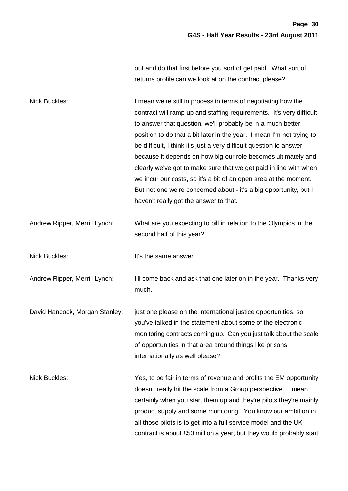out and do that first before you sort of get paid. What sort of returns profile can we look at on the contract please?

| <b>Nick Buckles:</b>           | I mean we're still in process in terms of negotiating how the<br>contract will ramp up and staffing requirements. It's very difficult<br>to answer that question, we'll probably be in a much better<br>position to do that a bit later in the year. I mean I'm not trying to<br>be difficult, I think it's just a very difficult question to answer<br>because it depends on how big our role becomes ultimately and<br>clearly we've got to make sure that we get paid in line with when<br>we incur our costs, so it's a bit of an open area at the moment.<br>But not one we're concerned about - it's a big opportunity, but I<br>haven't really got the answer to that. |
|--------------------------------|-------------------------------------------------------------------------------------------------------------------------------------------------------------------------------------------------------------------------------------------------------------------------------------------------------------------------------------------------------------------------------------------------------------------------------------------------------------------------------------------------------------------------------------------------------------------------------------------------------------------------------------------------------------------------------|
| Andrew Ripper, Merrill Lynch:  | What are you expecting to bill in relation to the Olympics in the<br>second half of this year?                                                                                                                                                                                                                                                                                                                                                                                                                                                                                                                                                                                |
| <b>Nick Buckles:</b>           | It's the same answer.                                                                                                                                                                                                                                                                                                                                                                                                                                                                                                                                                                                                                                                         |
| Andrew Ripper, Merrill Lynch:  | I'll come back and ask that one later on in the year. Thanks very<br>much.                                                                                                                                                                                                                                                                                                                                                                                                                                                                                                                                                                                                    |
| David Hancock, Morgan Stanley: | just one please on the international justice opportunities, so<br>you've talked in the statement about some of the electronic<br>monitoring contracts coming up. Can you just talk about the scale<br>of opportunities in that area around things like prisons<br>internationally as well please?                                                                                                                                                                                                                                                                                                                                                                             |
| <b>Nick Buckles:</b>           | Yes, to be fair in terms of revenue and profits the EM opportunity<br>doesn't really hit the scale from a Group perspective. I mean<br>certainly when you start them up and they're pilots they're mainly<br>product supply and some monitoring. You know our ambition in<br>all those pilots is to get into a full service model and the UK<br>contract is about £50 million a year, but they would probably start                                                                                                                                                                                                                                                           |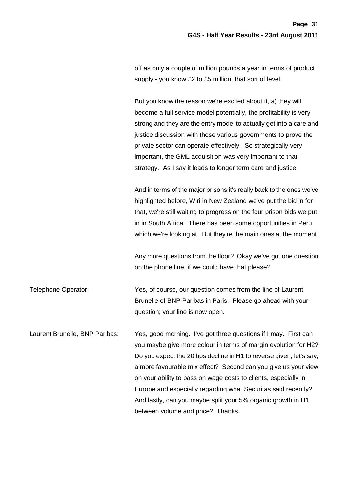off as only a couple of million pounds a year in terms of product supply - you know £2 to £5 million, that sort of level.

But you know the reason we're excited about it, a) they will become a full service model potentially, the profitability is very strong and they are the entry model to actually get into a care and justice discussion with those various governments to prove the private sector can operate effectively. So strategically very important, the GML acquisition was very important to that strategy. As I say it leads to longer term care and justice.

And in terms of the major prisons it's really back to the ones we've highlighted before, Wiri in New Zealand we've put the bid in for that, we're still waiting to progress on the four prison bids we put in in South Africa. There has been some opportunities in Peru which we're looking at. But they're the main ones at the moment.

Any more questions from the floor? Okay we've got one question on the phone line, if we could have that please?

Telephone Operator: Yes, of course, our question comes from the line of Laurent Brunelle of BNP Paribas in Paris. Please go ahead with your question; your line is now open.

Laurent Brunelle, BNP Paribas: Yes, good morning. I've got three questions if I may. First can you maybe give more colour in terms of margin evolution for H2? Do you expect the 20 bps decline in H1 to reverse given, let's say, a more favourable mix effect? Second can you give us your view on your ability to pass on wage costs to clients, especially in Europe and especially regarding what Securitas said recently? And lastly, can you maybe split your 5% organic growth in H1 between volume and price? Thanks.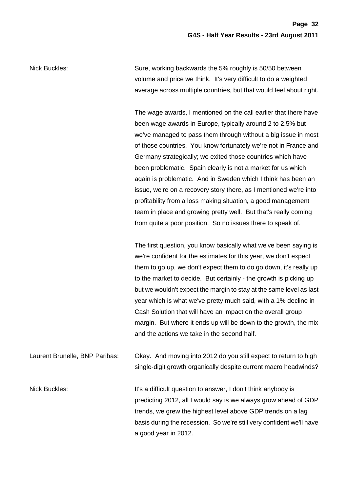Nick Buckles: Sure, working backwards the 5% roughly is 50/50 between volume and price we think. It's very difficult to do a weighted average across multiple countries, but that would feel about right.

> The wage awards, I mentioned on the call earlier that there have been wage awards in Europe, typically around 2 to 2.5% but we've managed to pass them through without a big issue in most of those countries. You know fortunately we're not in France and Germany strategically; we exited those countries which have been problematic. Spain clearly is not a market for us which again is problematic. And in Sweden which I think has been an issue, we're on a recovery story there, as I mentioned we're into profitability from a loss making situation, a good management team in place and growing pretty well. But that's really coming from quite a poor position. So no issues there to speak of.

> The first question, you know basically what we've been saying is we're confident for the estimates for this year, we don't expect them to go up, we don't expect them to do go down, it's really up to the market to decide. But certainly - the growth is picking up but we wouldn't expect the margin to stay at the same level as last year which is what we've pretty much said, with a 1% decline in Cash Solution that will have an impact on the overall group margin. But where it ends up will be down to the growth, the mix and the actions we take in the second half.

Laurent Brunelle, BNP Paribas: Okay. And moving into 2012 do you still expect to return to high single-digit growth organically despite current macro headwinds?

Nick Buckles: The It's a difficult question to answer, I don't think anybody is predicting 2012, all I would say is we always grow ahead of GDP trends, we grew the highest level above GDP trends on a lag basis during the recession. So we're still very confident we'll have a good year in 2012.